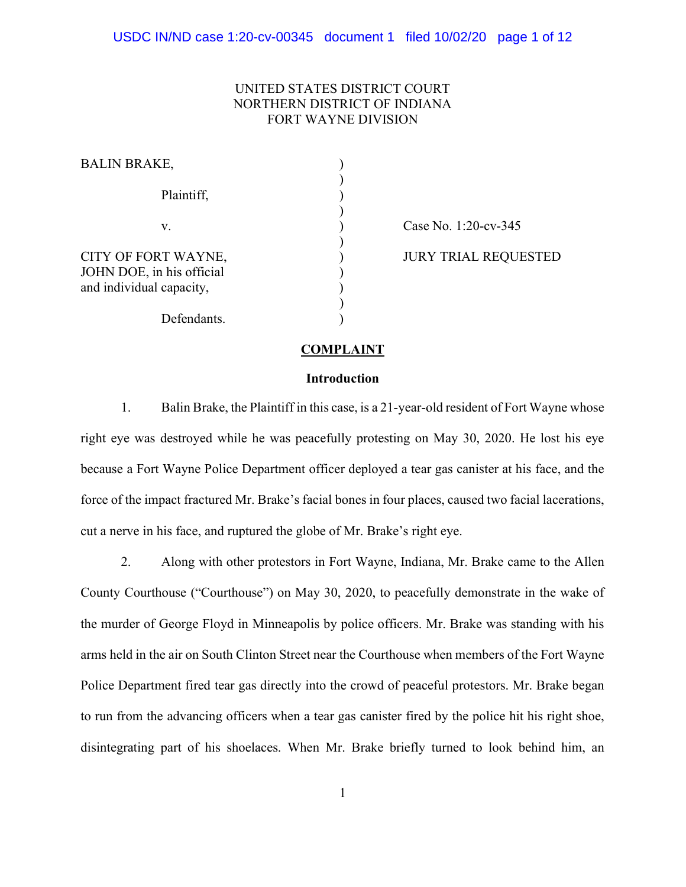# UNITED STATES DISTRICT COURT NORTHERN DISTRICT OF INDIANA FORT WAYNE DIVISION

| <b>BALIN BRAKE,</b>                                                          |  |
|------------------------------------------------------------------------------|--|
| Plaintiff,                                                                   |  |
| V.                                                                           |  |
| CITY OF FORT WAYNE,<br>JOHN DOE, in his official<br>and individual capacity, |  |
| Defendants.                                                                  |  |

Case No. 1:20-cv-345

JURY TRIAL REQUESTED

### COMPLAINT

### **Introduction**

1. Balin Brake, the Plaintiff in this case, is a 21-year-old resident of Fort Wayne whose right eye was destroyed while he was peacefully protesting on May 30, 2020. He lost his eye because a Fort Wayne Police Department officer deployed a tear gas canister at his face, and the force of the impact fractured Mr. Brake's facial bones in four places, caused two facial lacerations, cut a nerve in his face, and ruptured the globe of Mr. Brake's right eye.

2. Along with other protestors in Fort Wayne, Indiana, Mr. Brake came to the Allen County Courthouse ("Courthouse") on May 30, 2020, to peacefully demonstrate in the wake of the murder of George Floyd in Minneapolis by police officers. Mr. Brake was standing with his arms held in the air on South Clinton Street near the Courthouse when members of the Fort Wayne Police Department fired tear gas directly into the crowd of peaceful protestors. Mr. Brake began to run from the advancing officers when a tear gas canister fired by the police hit his right shoe, disintegrating part of his shoelaces. When Mr. Brake briefly turned to look behind him, an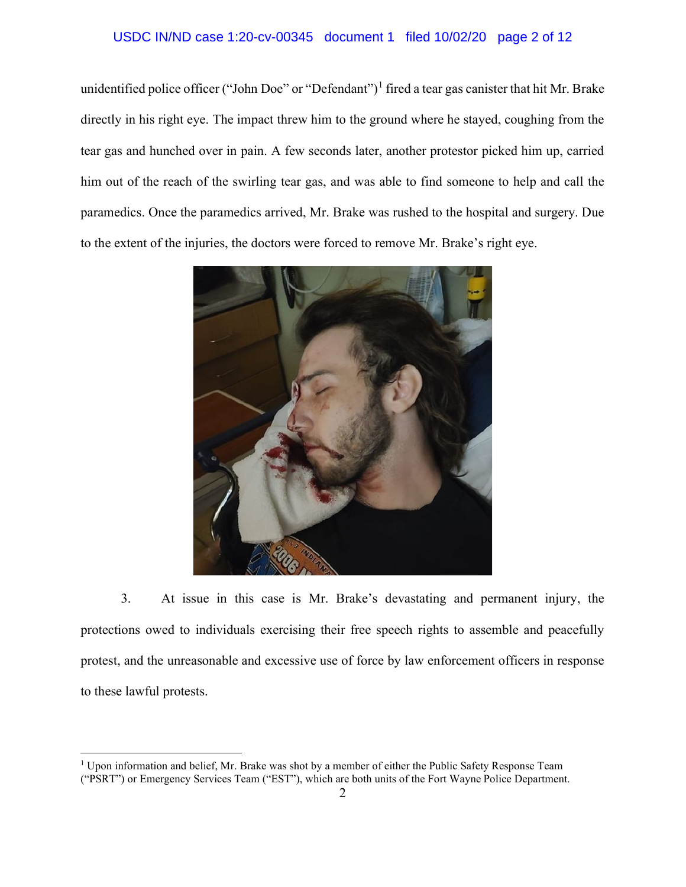# USDC IN/ND case 1:20-cv-00345 document 1 filed 10/02/20 page 2 of 12

unidentified police officer ("John Doe" or "Defendant")<sup>1</sup> fired a tear gas canister that hit Mr. Brake directly in his right eye. The impact threw him to the ground where he stayed, coughing from the tear gas and hunched over in pain. A few seconds later, another protestor picked him up, carried him out of the reach of the swirling tear gas, and was able to find someone to help and call the paramedics. Once the paramedics arrived, Mr. Brake was rushed to the hospital and surgery. Due to the extent of the injuries, the doctors were forced to remove Mr. Brake's right eye.



3. At issue in this case is Mr. Brake's devastating and permanent injury, the protections owed to individuals exercising their free speech rights to assemble and peacefully protest, and the unreasonable and excessive use of force by law enforcement officers in response to these lawful protests.

<sup>&</sup>lt;sup>1</sup> Upon information and belief, Mr. Brake was shot by a member of either the Public Safety Response Team ("PSRT") or Emergency Services Team ("EST"), which are both units of the Fort Wayne Police Department.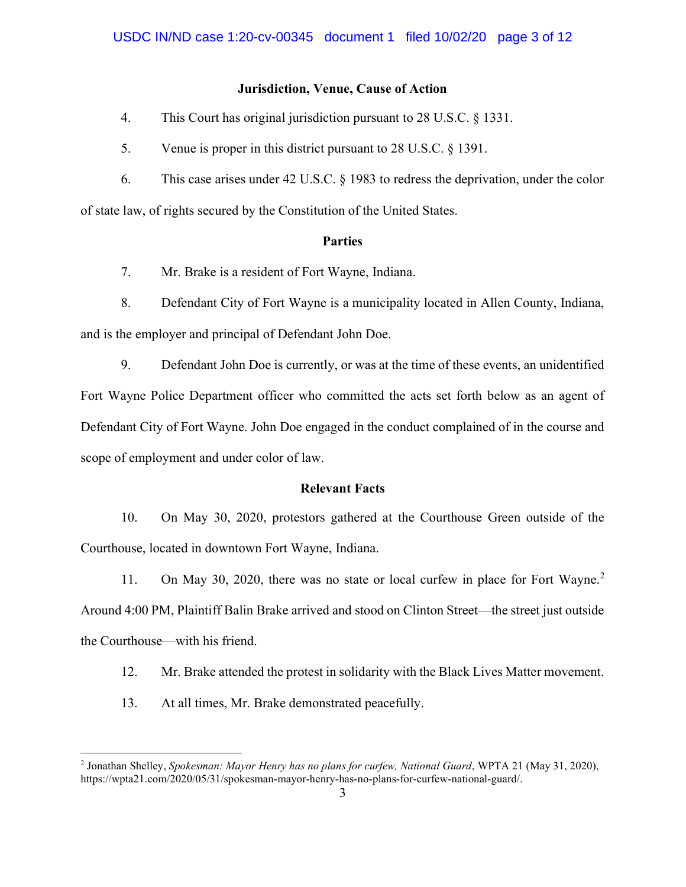# Jurisdiction, Venue, Cause of Action

- 4. This Court has original jurisdiction pursuant to 28 U.S.C. § 1331.
- 5. Venue is proper in this district pursuant to 28 U.S.C. § 1391.
- 6. This case arises under 42 U.S.C. § 1983 to redress the deprivation, under the color

of state law, of rights secured by the Constitution of the United States.

# Parties

7. Mr. Brake is a resident of Fort Wayne, Indiana.

8. Defendant City of Fort Wayne is a municipality located in Allen County, Indiana, and is the employer and principal of Defendant John Doe.

9. Defendant John Doe is currently, or was at the time of these events, an unidentified Fort Wayne Police Department officer who committed the acts set forth below as an agent of Defendant City of Fort Wayne. John Doe engaged in the conduct complained of in the course and scope of employment and under color of law.

# Relevant Facts

10. On May 30, 2020, protestors gathered at the Courthouse Green outside of the Courthouse, located in downtown Fort Wayne, Indiana.

11. On May 30, 2020, there was no state or local curfew in place for Fort Wayne.<sup>2</sup> Around 4:00 PM, Plaintiff Balin Brake arrived and stood on Clinton Street—the street just outside the Courthouse—with his friend.

- 12. Mr. Brake attended the protest in solidarity with the Black Lives Matter movement.
- 13. At all times, Mr. Brake demonstrated peacefully.

<sup>&</sup>lt;sup>2</sup> Jonathan Shelley, Spokesman: Mayor Henry has no plans for curfew, National Guard, WPTA 21 (May 31, 2020), https://wpta21.com/2020/05/31/spokesman-mayor-henry-has-no-plans-for-curfew-national-guard/.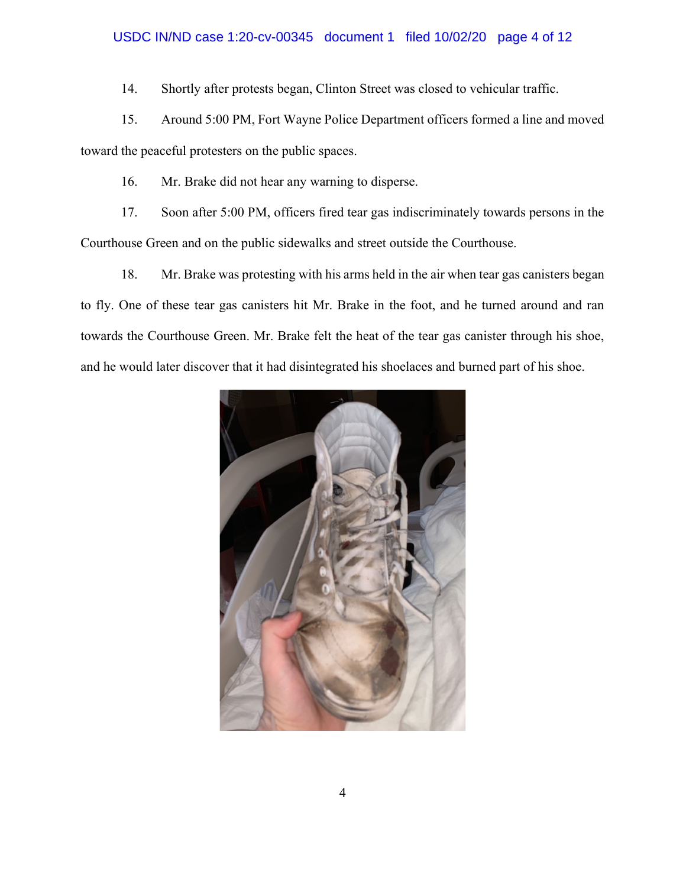## USDC IN/ND case 1:20-cv-00345 document 1 filed 10/02/20 page 4 of 12

14. Shortly after protests began, Clinton Street was closed to vehicular traffic.

15. Around 5:00 PM, Fort Wayne Police Department officers formed a line and moved toward the peaceful protesters on the public spaces.

16. Mr. Brake did not hear any warning to disperse.

17. Soon after 5:00 PM, officers fired tear gas indiscriminately towards persons in the Courthouse Green and on the public sidewalks and street outside the Courthouse.

18. Mr. Brake was protesting with his arms held in the air when tear gas canisters began to fly. One of these tear gas canisters hit Mr. Brake in the foot, and he turned around and ran towards the Courthouse Green. Mr. Brake felt the heat of the tear gas canister through his shoe, and he would later discover that it had disintegrated his shoelaces and burned part of his shoe.

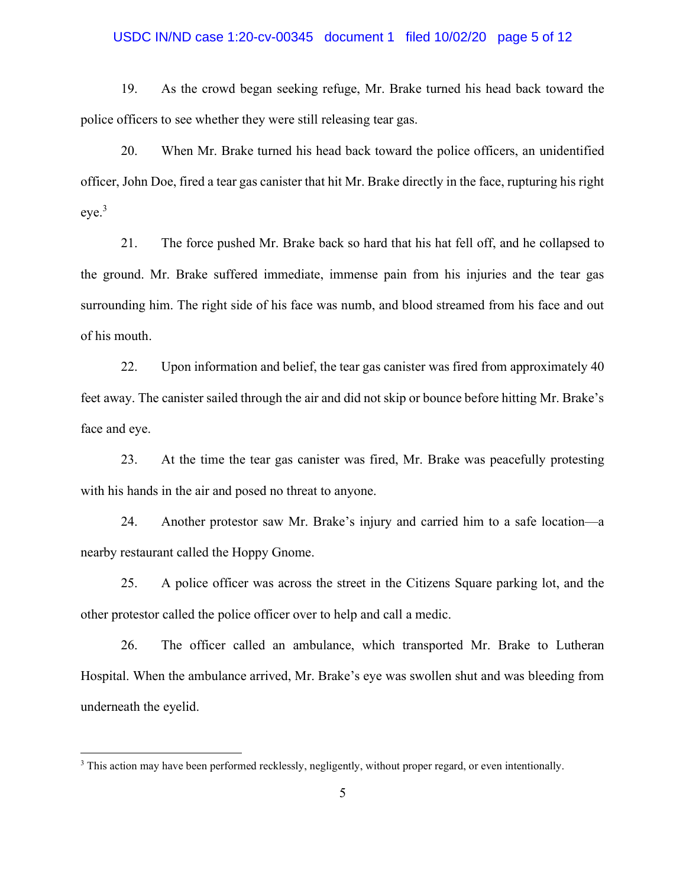# USDC IN/ND case 1:20-cv-00345 document 1 filed 10/02/20 page 5 of 12

19. As the crowd began seeking refuge, Mr. Brake turned his head back toward the police officers to see whether they were still releasing tear gas.

20. When Mr. Brake turned his head back toward the police officers, an unidentified officer, John Doe, fired a tear gas canister that hit Mr. Brake directly in the face, rupturing his right  $eve<sup>3</sup>$ 

21. The force pushed Mr. Brake back so hard that his hat fell off, and he collapsed to the ground. Mr. Brake suffered immediate, immense pain from his injuries and the tear gas surrounding him. The right side of his face was numb, and blood streamed from his face and out of his mouth.

22. Upon information and belief, the tear gas canister was fired from approximately 40 feet away. The canister sailed through the air and did not skip or bounce before hitting Mr. Brake's face and eye.

23. At the time the tear gas canister was fired, Mr. Brake was peacefully protesting with his hands in the air and posed no threat to anyone.

24. Another protestor saw Mr. Brake's injury and carried him to a safe location—a nearby restaurant called the Hoppy Gnome.

25. A police officer was across the street in the Citizens Square parking lot, and the other protestor called the police officer over to help and call a medic.

26. The officer called an ambulance, which transported Mr. Brake to Lutheran Hospital. When the ambulance arrived, Mr. Brake's eye was swollen shut and was bleeding from underneath the eyelid.

<sup>&</sup>lt;sup>3</sup> This action may have been performed recklessly, negligently, without proper regard, or even intentionally.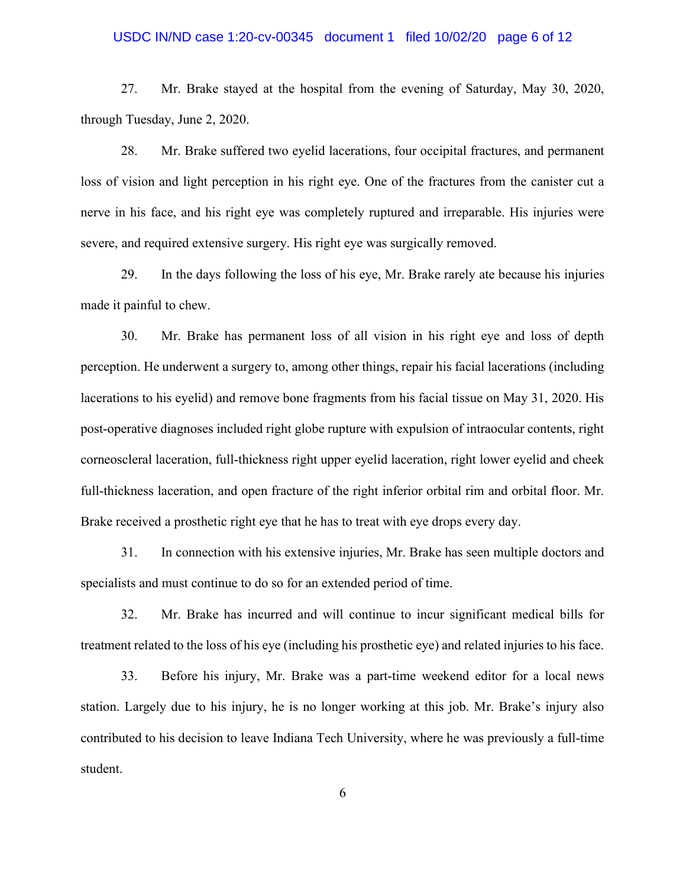# USDC IN/ND case 1:20-cv-00345 document 1 filed 10/02/20 page 6 of 12

27. Mr. Brake stayed at the hospital from the evening of Saturday, May 30, 2020, through Tuesday, June 2, 2020.

28. Mr. Brake suffered two eyelid lacerations, four occipital fractures, and permanent loss of vision and light perception in his right eye. One of the fractures from the canister cut a nerve in his face, and his right eye was completely ruptured and irreparable. His injuries were severe, and required extensive surgery. His right eye was surgically removed.

29. In the days following the loss of his eye, Mr. Brake rarely ate because his injuries made it painful to chew.

30. Mr. Brake has permanent loss of all vision in his right eye and loss of depth perception. He underwent a surgery to, among other things, repair his facial lacerations (including lacerations to his eyelid) and remove bone fragments from his facial tissue on May 31, 2020. His post-operative diagnoses included right globe rupture with expulsion of intraocular contents, right corneoscleral laceration, full-thickness right upper eyelid laceration, right lower eyelid and cheek full-thickness laceration, and open fracture of the right inferior orbital rim and orbital floor. Mr. Brake received a prosthetic right eye that he has to treat with eye drops every day.

31. In connection with his extensive injuries, Mr. Brake has seen multiple doctors and specialists and must continue to do so for an extended period of time.

32. Mr. Brake has incurred and will continue to incur significant medical bills for treatment related to the loss of his eye (including his prosthetic eye) and related injuries to his face.

33. Before his injury, Mr. Brake was a part-time weekend editor for a local news station. Largely due to his injury, he is no longer working at this job. Mr. Brake's injury also contributed to his decision to leave Indiana Tech University, where he was previously a full-time student.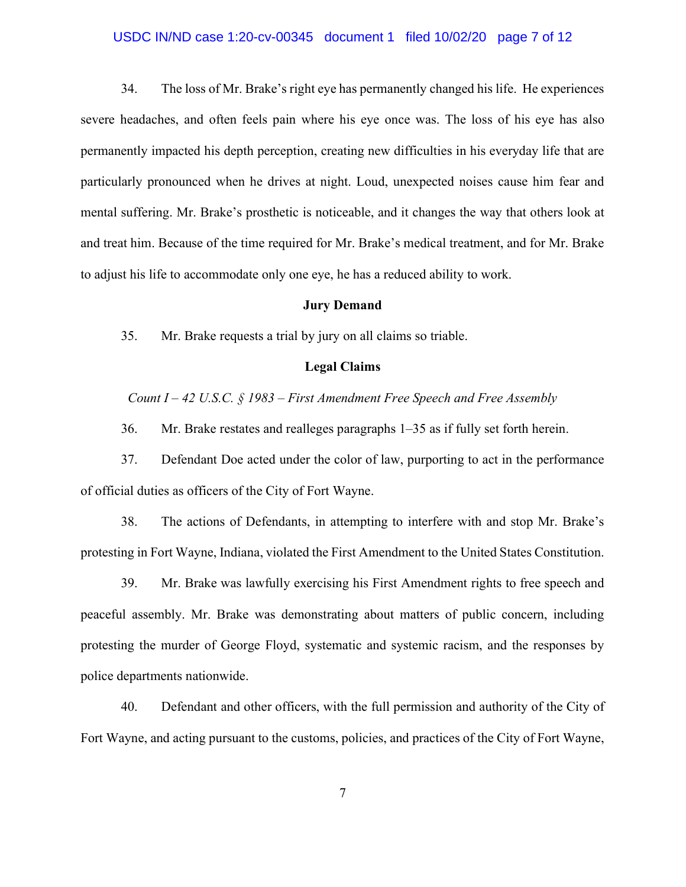# USDC IN/ND case 1:20-cv-00345 document 1 filed 10/02/20 page 7 of 12

34. The loss of Mr. Brake's right eye has permanently changed his life. He experiences severe headaches, and often feels pain where his eye once was. The loss of his eye has also permanently impacted his depth perception, creating new difficulties in his everyday life that are particularly pronounced when he drives at night. Loud, unexpected noises cause him fear and mental suffering. Mr. Brake's prosthetic is noticeable, and it changes the way that others look at and treat him. Because of the time required for Mr. Brake's medical treatment, and for Mr. Brake to adjust his life to accommodate only one eye, he has a reduced ability to work.

#### Jury Demand

35. Mr. Brake requests a trial by jury on all claims so triable.

### Legal Claims

Count  $I - 42$  U.S.C. § 1983 – First Amendment Free Speech and Free Assembly

36. Mr. Brake restates and realleges paragraphs 1–35 as if fully set forth herein.

37. Defendant Doe acted under the color of law, purporting to act in the performance of official duties as officers of the City of Fort Wayne.

38. The actions of Defendants, in attempting to interfere with and stop Mr. Brake's protesting in Fort Wayne, Indiana, violated the First Amendment to the United States Constitution.

39. Mr. Brake was lawfully exercising his First Amendment rights to free speech and peaceful assembly. Mr. Brake was demonstrating about matters of public concern, including protesting the murder of George Floyd, systematic and systemic racism, and the responses by police departments nationwide.

40. Defendant and other officers, with the full permission and authority of the City of Fort Wayne, and acting pursuant to the customs, policies, and practices of the City of Fort Wayne,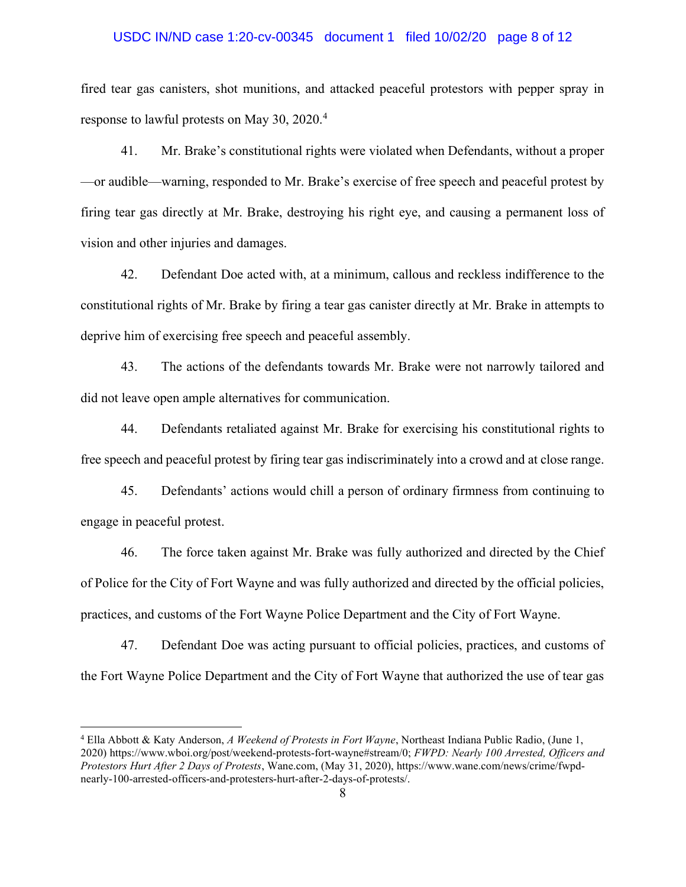# USDC IN/ND case 1:20-cv-00345 document 1 filed 10/02/20 page 8 of 12

fired tear gas canisters, shot munitions, and attacked peaceful protestors with pepper spray in response to lawful protests on May 30, 2020.<sup>4</sup>

41. Mr. Brake's constitutional rights were violated when Defendants, without a proper —or audible—warning, responded to Mr. Brake's exercise of free speech and peaceful protest by firing tear gas directly at Mr. Brake, destroying his right eye, and causing a permanent loss of vision and other injuries and damages.

42. Defendant Doe acted with, at a minimum, callous and reckless indifference to the constitutional rights of Mr. Brake by firing a tear gas canister directly at Mr. Brake in attempts to deprive him of exercising free speech and peaceful assembly.

43. The actions of the defendants towards Mr. Brake were not narrowly tailored and did not leave open ample alternatives for communication.

44. Defendants retaliated against Mr. Brake for exercising his constitutional rights to free speech and peaceful protest by firing tear gas indiscriminately into a crowd and at close range.

45. Defendants' actions would chill a person of ordinary firmness from continuing to engage in peaceful protest.

46. The force taken against Mr. Brake was fully authorized and directed by the Chief of Police for the City of Fort Wayne and was fully authorized and directed by the official policies, practices, and customs of the Fort Wayne Police Department and the City of Fort Wayne.

47. Defendant Doe was acting pursuant to official policies, practices, and customs of the Fort Wayne Police Department and the City of Fort Wayne that authorized the use of tear gas

<sup>&</sup>lt;sup>4</sup> Ella Abbott & Katy Anderson, A Weekend of Protests in Fort Wayne, Northeast Indiana Public Radio, (June 1, 2020) https://www.wboi.org/post/weekend-protests-fort-wayne#stream/0; FWPD: Nearly 100 Arrested, Officers and Protestors Hurt After 2 Days of Protests, Wane.com, (May 31, 2020), https://www.wane.com/news/crime/fwpdnearly-100-arrested-officers-and-protesters-hurt-after-2-days-of-protests/.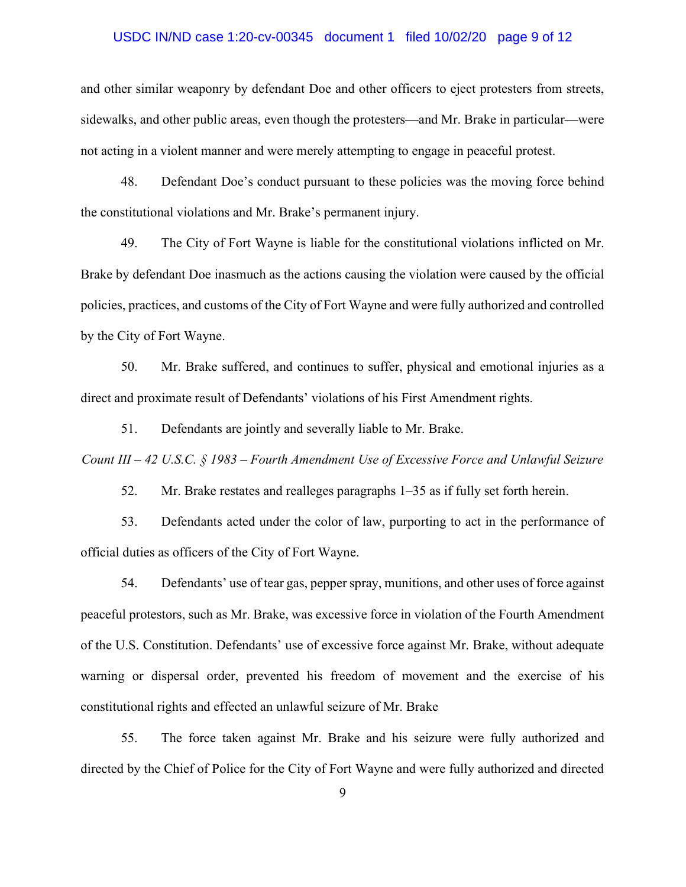# USDC IN/ND case 1:20-cv-00345 document 1 filed 10/02/20 page 9 of 12

and other similar weaponry by defendant Doe and other officers to eject protesters from streets, sidewalks, and other public areas, even though the protesters—and Mr. Brake in particular—were not acting in a violent manner and were merely attempting to engage in peaceful protest.

48. Defendant Doe's conduct pursuant to these policies was the moving force behind the constitutional violations and Mr. Brake's permanent injury.

49. The City of Fort Wayne is liable for the constitutional violations inflicted on Mr. Brake by defendant Doe inasmuch as the actions causing the violation were caused by the official policies, practices, and customs of the City of Fort Wayne and were fully authorized and controlled by the City of Fort Wayne.

50. Mr. Brake suffered, and continues to suffer, physical and emotional injuries as a direct and proximate result of Defendants' violations of his First Amendment rights.

51. Defendants are jointly and severally liable to Mr. Brake.

Count III – 42 U.S.C. § 1983 – Fourth Amendment Use of Excessive Force and Unlawful Seizure

52. Mr. Brake restates and realleges paragraphs 1–35 as if fully set forth herein.

53. Defendants acted under the color of law, purporting to act in the performance of official duties as officers of the City of Fort Wayne.

54. Defendants' use of tear gas, pepper spray, munitions, and other uses of force against peaceful protestors, such as Mr. Brake, was excessive force in violation of the Fourth Amendment of the U.S. Constitution. Defendants' use of excessive force against Mr. Brake, without adequate warning or dispersal order, prevented his freedom of movement and the exercise of his constitutional rights and effected an unlawful seizure of Mr. Brake

55. The force taken against Mr. Brake and his seizure were fully authorized and directed by the Chief of Police for the City of Fort Wayne and were fully authorized and directed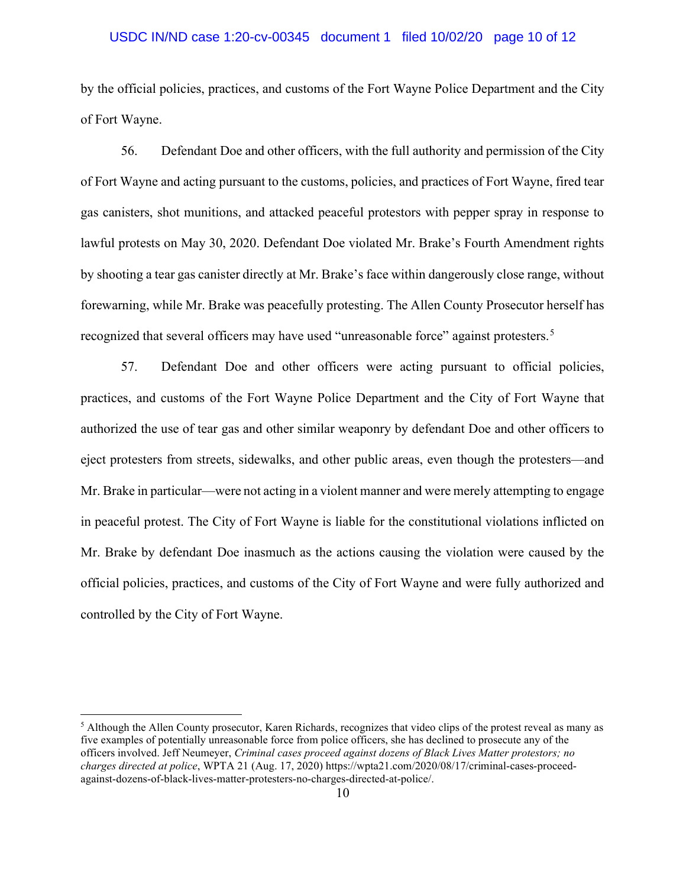# USDC IN/ND case 1:20-cv-00345 document 1 filed 10/02/20 page 10 of 12

by the official policies, practices, and customs of the Fort Wayne Police Department and the City of Fort Wayne.

56. Defendant Doe and other officers, with the full authority and permission of the City of Fort Wayne and acting pursuant to the customs, policies, and practices of Fort Wayne, fired tear gas canisters, shot munitions, and attacked peaceful protestors with pepper spray in response to lawful protests on May 30, 2020. Defendant Doe violated Mr. Brake's Fourth Amendment rights by shooting a tear gas canister directly at Mr. Brake's face within dangerously close range, without forewarning, while Mr. Brake was peacefully protesting. The Allen County Prosecutor herself has recognized that several officers may have used "unreasonable force" against protesters.<sup>5</sup>

57. Defendant Doe and other officers were acting pursuant to official policies, practices, and customs of the Fort Wayne Police Department and the City of Fort Wayne that authorized the use of tear gas and other similar weaponry by defendant Doe and other officers to eject protesters from streets, sidewalks, and other public areas, even though the protesters—and Mr. Brake in particular—were not acting in a violent manner and were merely attempting to engage in peaceful protest. The City of Fort Wayne is liable for the constitutional violations inflicted on Mr. Brake by defendant Doe inasmuch as the actions causing the violation were caused by the official policies, practices, and customs of the City of Fort Wayne and were fully authorized and controlled by the City of Fort Wayne.

<sup>&</sup>lt;sup>5</sup> Although the Allen County prosecutor, Karen Richards, recognizes that video clips of the protest reveal as many as five examples of potentially unreasonable force from police officers, she has declined to prosecute any of the officers involved. Jeff Neumeyer, Criminal cases proceed against dozens of Black Lives Matter protestors; no charges directed at police, WPTA 21 (Aug. 17, 2020) https://wpta21.com/2020/08/17/criminal-cases-proceedagainst-dozens-of-black-lives-matter-protesters-no-charges-directed-at-police/.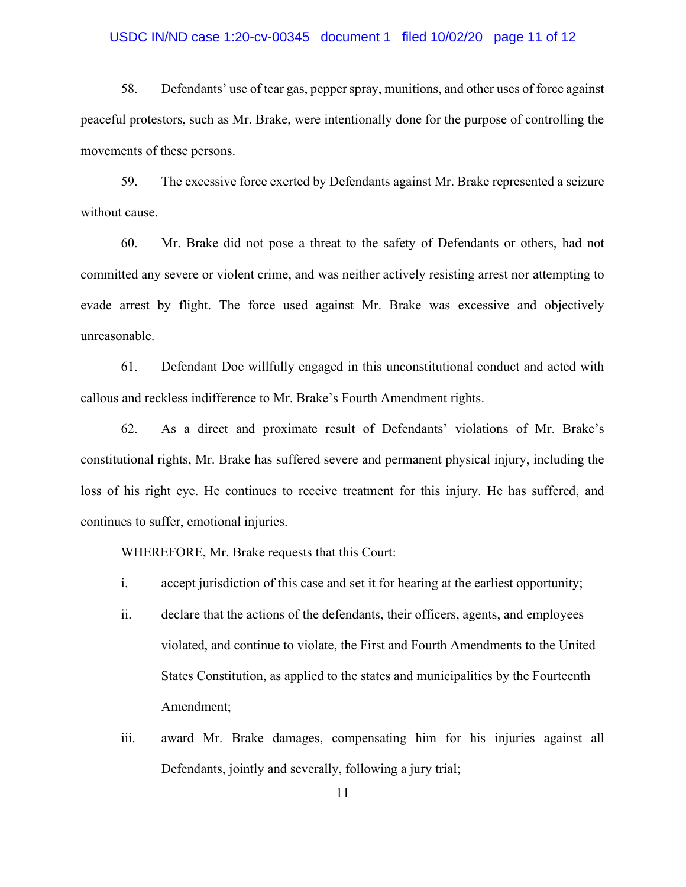# USDC IN/ND case 1:20-cv-00345 document 1 filed 10/02/20 page 11 of 12

58. Defendants' use of tear gas, pepper spray, munitions, and other uses of force against peaceful protestors, such as Mr. Brake, were intentionally done for the purpose of controlling the movements of these persons.

59. The excessive force exerted by Defendants against Mr. Brake represented a seizure without cause.

60. Mr. Brake did not pose a threat to the safety of Defendants or others, had not committed any severe or violent crime, and was neither actively resisting arrest nor attempting to evade arrest by flight. The force used against Mr. Brake was excessive and objectively unreasonable.

61. Defendant Doe willfully engaged in this unconstitutional conduct and acted with callous and reckless indifference to Mr. Brake's Fourth Amendment rights.

62. As a direct and proximate result of Defendants' violations of Mr. Brake's constitutional rights, Mr. Brake has suffered severe and permanent physical injury, including the loss of his right eye. He continues to receive treatment for this injury. He has suffered, and continues to suffer, emotional injuries.

WHEREFORE, Mr. Brake requests that this Court:

- i. accept jurisdiction of this case and set it for hearing at the earliest opportunity;
- ii. declare that the actions of the defendants, their officers, agents, and employees violated, and continue to violate, the First and Fourth Amendments to the United States Constitution, as applied to the states and municipalities by the Fourteenth Amendment;
- iii. award Mr. Brake damages, compensating him for his injuries against all Defendants, jointly and severally, following a jury trial;